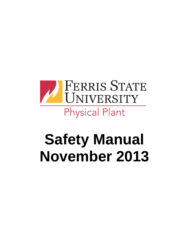

# **Safety Manual November 2013**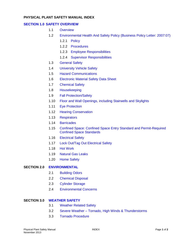# **PHYSICAL PLANT SAFETY MANUAL INDEX**

#### **SECTION 1.0 [SAFETY OVERVIEW](#page-3-0)**

- 1.1 [Overview](#page-3-0)
- 1.2 [Environmental Health And Safety Policy \(Business Policy Letter: 2007:07\)](#page-3-1)
	- 1.2.1 [Policy](#page-3-2)
	- 1.2.2 [Procedures](#page-3-3)
	- 1.2.3 [Employee Responsibilities](#page-4-0)
	- 1.2.4 [Supervisor Responsibilities](#page-4-1)
- 1.3 [General Safety](#page-5-0)
- 1.4 [University Vehicle Safety](#page-5-1)
- 1.5 [Hazard Communications](#page-6-0)
- 1.6 [Electronic Material Safety Data Sheet](#page-6-1)
- 1.7 [Chemical Safety](#page-7-0)
- 1.8 [Housekeeping](#page-8-0)
- 1.9 [Fall Protection/Safety](#page-8-1)
- 1.10 [Floor and Wall Openings, including Stairwells and Skylights](#page-9-0)
- 1.11 [Eye Protection](#page-9-1)
- 1.12 [Hearing Conservation](#page-9-2)
- 1.13 [Respirators](#page-10-0)
- 1.14 [Barricades](#page-5-1)
- 1.15 [Confined Space: Confined Space Entry Standard and Permit-Required](#page-10-1)  [Confined Space Standards](#page-10-1)
- 1.16 [Electrical Safety](#page-12-0)
- 1.17 Lock Out/Tag [Out Electrical Safety](#page-13-0)
- 1.18 [Hot Work](#page-13-1)
- 1.19 [Natural Gas Leaks](#page-14-0)
- 1.20 [Home Safety](#page-14-1)

#### **SECTION 2.0 [ENVIRONMENTAL](#page-16-0)**

- 2.1 [Building Odors](#page-16-1)
- 2.2 [Chemical Disposal](#page-16-2)
- 2.3 [Cylinder Storage](#page-16-3)
- 2.4 [Environmental Concerns](#page-17-0)

#### **SECTION 3.0 [WEATHER SAFETY](#page-19-0)**

- 3.1 [Weather Related Safety](#page-19-0)
- 3.2 Severe Weather [Tornado, High Winds & Thunderstorms](#page-19-1)
- 3.3 [Tornado Procedure](#page-20-0)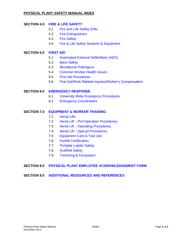# **PHYSICAL PLANT SAFETY MANUAL INDEX**

# **SECTION 4.0 FIRE & [LIFE SAFETY](#page-21-0)**

- 4.1 Fire [and Life Safety](#page-21-1) Drills
- 4.2 [Fire Extinguishers](#page-21-2)
- 4.3 [Fire Safety](#page-22-0)
- 4.4 [Fire & Life Safety Systems & Equipment](#page-23-0)

# **SECTION 5.0 [FIRST AID](#page-25-0)**

- 5.1 [Automated External Defibrillator \(AED\)](#page-25-1)
- 5.2 [Back Safety](#page-27-0)
- 5.3 [Bloodborne Pathogens](#page-27-1)
- 5.4 [Common Worker Health Issues](#page-28-0)
- 5.5 [First Aid Procedures](#page-28-1)
- 5.6 [First Aid/Work Related Injuries/Worker's Compensation](#page-31-0)

# **SECTION 6.0 [EMERGENCY RESPONSE](#page-32-0)**

- 6.1 [University Wide Emergency Procedures](#page-32-1)
- 6.2 [Emergency Coordinators](#page-32-2)

#### **SECTION 7.0 [EQUIPMENT & WORKER TRAINING](#page-33-0)**

- 7.1 [Aerial Lifts](#page-33-1)
- 7.2 Aerial Lift [Pre-Operation Procedures](#page-33-2)
- 7.3 Aerial Lift [Operating Procedures](#page-34-0)
- 7.4 Aerial Lift [Special Procedures](#page-36-0)
- 7.5 [Equipment Care & Tool Use](#page-37-0)
- 7.6 [Forklift Certification](#page-37-1)
- 7.7 [Portable Ladder Safety](#page-38-0)
- 7.8 [Scaffold Safety](#page-39-0)
- 7.9 [Trenching & Excavation](#page-40-0)

# **SECTION 8.0 [PHYSICAL PLANT EMPLOYEE ACKNOWLEDGEMENT FORM](#page-42-0)**

# **SECTION 9.0 [ADDITIONAL RESOURCES AND REFERENCES](#page-43-0)**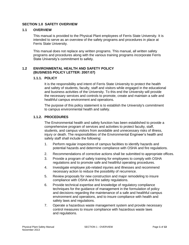# <span id="page-3-0"></span>**SECTION 1.0 SAFETY OVERVIEW**

# **1.1 OVERVIEW**

This manual is provided to the Physical Plant employees of Ferris State University. It is intended to serve as an overview of the safety programs and procedures in place at Ferris State University.

This manual does not replace any written programs. This manual, all written safety programs and procedures along with the various training programs incorporate Ferris State University's commitment to safety.

# <span id="page-3-2"></span><span id="page-3-1"></span>**1.2 ENVIRONMENTAL HEALTH AND SAFETY POLICY (BUSINESS POLICY LETTER: 2007:07)**

#### **1.1.1. POLICY**

It is the responsibility and intent of Ferris State University to protect the health and safety of students, faculty, staff and visitors while engaged in the educational and business activities of the University. To this end the University will provide the necessary services and controls to promote, create and maintain a safe and healthful campus environment and operations.

The purpose of this policy statement is to establish the University's commitment to campus environmental health and safety.

# <span id="page-3-3"></span>**1.1.2. PROCEDURES**

The Environmental health and safety function has been established to provide a comprehensive program of services and activities to protect faculty, staff, students, and campus visitors from avoidable and unnecessary risks of illness, injury or death. The responsibilities of the Environmental Engineer's health and safety staff shall include the following:

- 1. Perform regular inspections of campus facilities to identify hazards and potential hazards and determine compliance with OSHA and fire regulations.
- 2. Recommendations of corrective actions shall be submitted to appropriate offices.
- 3. Provide a program of safety training for employees to comply with OSHA regulations and to promote safe and healthful operating procedures.
- 4. Investigate employee job-related injuries and illnesses and recommend necessary action to reduce the possibility of recurrence.
- 5. Review proposals for new construction and major remodeling to insure compliance with OSHA and fire safety regulations.
- 6. Provide technical expertise and knowledge of regulatory compliance techniques for the guidance of management in the formulation of policy and decisions regarding the maintenance of a safe and healthful campus environment and operations, and to insure compliance with health and safety laws and regulations.
- 7. Operate a hazardous waste management system and provide necessary control measures to insure compliance with hazardous waste laws and regulations.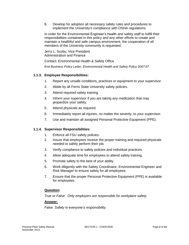8. Develop for adoption all necessary safety rules and procedures to implement the University's compliance with OSHA regulations.

In order for the Environmental Engineer's health and safety staff to fulfill their responsibilities contained in this policy and any other efforts to create and maintain a healthful and safe campus environment, the cooperation of all members of the University community is requested.

Jerry L. Scoby, Vice President Administration and Finance

Contact: Environmental Health & Safety Office

*End Business Policy Letter: Environmental Health and Safety Policy 2007:07*

# <span id="page-4-0"></span>**1.1.3. Employee Responsibilities:**

- 1. Report any unsafe conditions, practices or equipment to your supervisor.
- 2. Abide by all Ferris State University safety policies.
- 3. Attend required safety training.
- 4. Inform your supervisor if you are taking any medication that may jeopardize your safety.
- 5. Attend physicals as required.
- 6. Immediately report all injuries, no matter the severity, to your supervisor.
- 7. Use and maintain all assigned Personal Protective Equipment (PPE).

# <span id="page-4-1"></span>**1.1.4. Supervisor Responsibilities:**

- 1. Enforce all FSU safety policies.
- 2. Insure that employees receive the proper training and required physicals needed to safely perform their job.
- 3. Verify compliance to safety policies and individual practices.
- 4. Allow adequate time for employees to attend safety training.
- 5. Promote safety to the best of your ability.
- 6. Work diligently with the Safety Coordinator, Environmental Engineer and Risk Manager to ensure safety for all employees.
- 7. Ensure that the proper Personal Protective Equipment (PPE) is available for employees.

# **Question:**

*True or False: Only employers are responsible for workplace safety.*

#### **Answer:**

*False. Safety is everyone's responsibility.*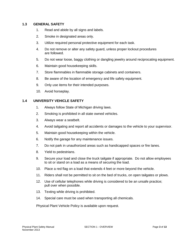# <span id="page-5-0"></span>**1.3 GENERAL SAFETY**

- 1. Read and abide by all signs and labels.
- 2. Smoke in designated areas only.
- 3. Utilize required personal protective equipment for each task.
- 4. Do not remove or alter any safety guard, unless proper lockout procedures are followed.
- 5. Do not wear loose, baggy clothing or dangling jewelry around reciprocating equipment.
- 6. Maintain good housekeeping skills.
- 7. Store flammables in flammable storage cabinets and containers.
- 8. Be aware of the location of emergency and life safety equipment.
- 9. Only use items for their intended purposes.
- 10. Avoid horseplay.

# <span id="page-5-1"></span>**1.4 UNIVERSITY VEHICLE SAFETY**

- 1. Always follow State of Michigan driving laws.
- 2. Smoking is prohibited in all state owned vehicles.
- 3. Always wear a seatbelt.
- 4. Avoid tailgating and report all accidents or damages to the vehicle to your supervisor.
- 5. Maintain good housekeeping within the vehicle.
- 6. Notify the garage for any maintenance issues.
- 7. Do not park in unauthorized areas such as handicapped spaces or fire lanes.
- 8. Yield to pedestrians.
- 9. Secure your load and close the truck tailgate if appropriate. Do not allow employees to sit or stand on a load as a means of securing the load.
- 10. Place a red flag on a load that extends 4 feet or more beyond the vehicle.
- 11. Riders shall not be permitted to sit on the bed of trucks, on open tailgates or plows.
- 12. Use of cellular telephones while driving is considered to be an unsafe practice; pull over when possible.
- 13. Texting while driving is prohibited.
- 14. Special care must be used when transporting all chemicals.

Physical Plant Vehicle Policy is available upon request.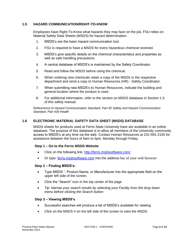# <span id="page-6-0"></span>**1.5 HAZARD COMMUNICATION/RIGHT-TO-KNOW**

Employees have Right-To-Know what hazards they may face on the job. FSU relies on Material Safety Data Sheets (MSDS) for hazard determination.

- 1. MSDS's are the basic hazard communication tool.
- 2. FSU is required to have a MSDS for every hazardous chemical received.
- 3. MSDS's give specific details on the chemical characteristics and properties as well as safe handling precautions.
- 4. A central database of MSDS's is maintained by the Safety Coordinator.
- 5. Read and follow the MSDS before using the chemical.
- 6. When ordering new chemicals retain a copy of the MSDS in the respective department and send a copy to Human Resources (HR) - Safety Coordinator.
- 7. When submitting new MSDS's to Human Resources, indicate the building and general location where the product is used.
- 8. For additional information, refer to the section on MSDS database in Section 1.5 of this safety manual.

*Refererence to Hazard Communication Standard, Part 92 Safety and Hazard Communication Standard, Part 430 Health*

# <span id="page-6-1"></span>**1.6 ELECTRONIC MATERIAL SAFETY DATA SHEET (MSDS) DATABASE**

MSDS sheets for products used at Ferris State University have are available in an online database; The purpose of this database is to allow all members of the University community access to MSDS's at any time via the web. Contact Human Resources at 231-591-2150 for assistance between the hours of 8am to 5pm, Monday through Friday.

#### **Step 1 – Go to the Ferris MSDS Website**

- Click on the following link:<http://ferris.msdssoftware.com/>
- Or type: [ferris.msdssoftware.com](http://ferris.msdssoftware.com/) into the address bar of your web browser

#### **Step 2 – Finding MSDS's:**

- Type MSDS ", Product Name, or Manufacturer into the appropriate field on the upper left side of the screen.
- Click the "Search" icon in the top center of the page
- *Tip: Narrow your search results by selecting your Facility from the drop down menu before clicking the Search button*

#### **Step 3 – Viewing MSDS's**

- Successful searches will produce a list of MSDS's available for viewing
- Click on the MSDS # on the left side of the screen to view the MSDS.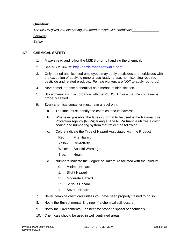# **Question:**

*The MSDS gives you everything you need to work with chemicals \_\_\_\_\_\_\_\_\_\_\_\_\_\_.* 

# **Answer:**

*Safely*

# <span id="page-7-0"></span>**1.7 CHEMICAL SAFETY**

- 1. Always read and follow the MSDS prior to handling the chemical.
- 2. See MSDS link at: <http://ferris.msdssoftware.com/>
- 3. Only trained and licensed employees may apply pesticides and herbicides with the exception of applying general use ready-to-use, non-licensing required pesticide and related products. Female workers are NOT to apply round-up!
- 4. Never smell or taste a chemical as a means of identification.
- 5. Store chemicals in accordance with the MSDS. Ensure that the container is properly sealed.
- 6. Every chemical container must have a label on it:
	- a. The label must identify the chemical and its hazards.
	- b. Whenever possible, the labeling format to be used is the National Fire Protection Agency (NFPA) triangle. The NFPA triangle utilizes a color coding and numbering system that reflect the following:
	- c. Colors Indicate the Type of Hazard Associated with the Product
		- Red: Fire Hazard
		- Yellow: Re-Activity
		- White: Special Warning
		- Blue: Health
	- d. Numbers Indicate the Degree of Hazard Associated with the Product
		- 0: Minimal Hazard
		- 1: Slight Hazard
		- 2: Moderate Hazard
		- 3: Serious Hazard
		- 4: Severe Hazard
- 7. Never combine chemicals unless you have been properly trained to do so.
- 8. Notify the Environmental Engineer if a chemical spill occurs.
- 9. Notify the Environmental Engineer for proper disposal of chemicals
- 10. Chemicals should be used in well ventilated areas.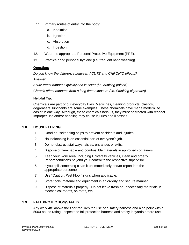- 11. Primary routes of entry into the body:
	- a. Inhalation
	- b. Injection
	- c. Absorption
	- d. Ingestion
- 12. Wear the appropriate Personal Protective Equipment (PPE).
- 13. Practice good personal hygiene (i.e. frequent hand washing)

# **Question:**

*Do you know the difference between ACUTE and CHRONIC effects?*

# **Answer:**

*Acute effect happens quickly and is sever (i.e. drinking poison) Chronic effect happens from a long time exposure (i.e. Smoking cigarettes)*

# **Helpful Tip:**

Chemicals are part of our everyday lives. Medicines, cleaning products, plastics, degreasers, lubricants are some examples. These chemicals have made modern life easier in one way. Although, these chemicals help us, they must be treated with respect. Improper use and/or handling may cause injuries and illnesses.

#### <span id="page-8-0"></span>**1.8 HOUSEKEEPING**

- 1. Good housekeeping helps to prevent accidents and injuries.
- 2. Housekeeping is an essential part of everyone's job.
- 3. Do not obstruct stairways, aisles, entrances or exits.
- 4. Dispose of flammable and combustible materials in approved containers.
- 5. Keep your work area, including University vehicles, clean and orderly. Report conditions beyond your control to the respective supervisor.
- 6. If you spill something clean it up immediately and/or report it to the appropriate personnel.
- 7. Use "Caution, Wet Floor" signs when applicable.
- 8. Store tools, material and equipment in an orderly and secure manner.
- 9. Dispose of materials properly. Do not leave trash or unnecessary materials in mechanical rooms, on roofs, etc.

# <span id="page-8-1"></span>**1.9 FALL PROTECTION/SAFETY**

Any work 48" above the floor requires the use of a safety harness and a tie point with a 5000 pound rating. Inspect the fall protection harness and safety lanyards before use.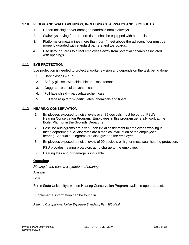# <span id="page-9-0"></span>**1.10 FLOOR AND WALL OPENINGS, INCLUDING STAIRWAYS AND SKYLIGHTS**

- 1. Report missing and/or damaged handrails from stairways.
- 2. Stairways having four or more risers shall be equipped with handrails.
- 3. Platforms or mezzanines more than four (4) feet above the adjacent floor must be properly guarded with standard barriers and toe boards.
- 4. Use detour guards to direct employees away from potential hazards associated with openings.

# <span id="page-9-1"></span>**1.11 EYE PROTECTION**

Eye protection is needed to protect a worker's vision and depends on the task being done.

- 1. Dark glasses sun
- 2. Safety glasses with side shields maintenance
- 3. Goggles particulates/chemicals
- 4. Full face shield particulates/chemicals
- 5. Full face respirator particulates, chemicals and fibers

#### <span id="page-9-2"></span>**1.12 HEARING CONSERVATION**

- 1. Employees exposed to noise levels over 85 decibels must be part of FSU's Hearing Conservation Program. Employees in this program generally work at the Boiler Plant or in the Grounds Department.
- 2. Baseline audiograms are given upon initial assignment to employees working in these departments. Audiograms are a medical evaluation of the employee's hearing. Annual audiograms are also given to the employee.
- 3. Employees exposed to noise levels of 90 decibels or higher must wear hearing protection.
- 4. FSU provides hearing protectors at no charge to the employee.
- 5. Hearing loss and/or damage is incurable.

#### **Question:**

*Ringing in the ears is a symptom of hearing \_\_\_\_\_\_\_\_\_\_\_\_\_\_\_\_*

#### **Answer:**

*Loss*

Ferris State University's written Hearing Conservation Program available upon request.

Supplemental information can be found in

*Refer to Occupational Noise Exposure Standard, Part 380 Health*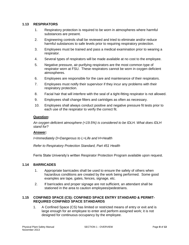# <span id="page-10-0"></span>**1.13 RESPIRATORS**

- 1. Respiratory protection is required to be worn in atmospheres where harmful substances are present.
- 2. Engineering controls shall be reviewed and tried to eliminate and/or reduce harmful substances to safe levels prior to requiring respiratory protection.
- 3. Employees must be trained and pass a medical examination prior to wearing a respirator.
- 4. Several types of respirators will be made available at no cost to the employee.
- 5. Negative pressure, air-purifying respirators are the most common type of respirator worn at FSU. These respirators cannot be worn in oxygen deficient atmospheres.
- 6. Employees are responsible for the care and maintenance of their respirators.
- 7. Employees must notify their supervisor if they incur any problems with their respiratory protection.
- 8. Facial hair that will interfere with the seal of a tight-fitting respirator is not allowed.
- 9. Employees shall change filters and cartridges as often as necessary.
- 10. Employees shall always conduct positive and negative pressure fit tests prior to each use of the respirator to verify the correct fit.

#### **Question:**

*An oxygen deficient atmosphere (<19.5%) is considered to be IDLH. What does IDLH stand for?*

# **Answer:**

*I=Immediately D=Dangerous to L=Life and H=Health*

*Refer to Respiratory Protection Standard, Part 451 Health*

Ferris State University's written Respirator Protection Program available upon request.

#### **1.14 BARRICADES**

- 1. Appropriate barricades shall be used to ensure the safety of others when hazardous conditions are created by the work being performed. Some good examples are tape, gates, fences, signage, etc.
- 2. If barricades and proper signage are not sufficient, an attendant shall be stationed in the area to caution employees/pedestrians.

# <span id="page-10-1"></span>**1.15 CONFINED SPACE (CS): CONFINED SPACE ENTRY STANDARD & PERMIT-REQUIRED CONFINED SPACE STANDARDS**

1. A Confined Space (CS) has limited or restricted means of entry or exit and is large enough for an employee to enter and perform assigned work; it is not designed for continuous occupancy by the employee.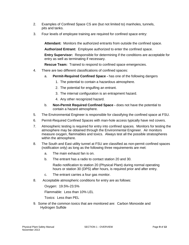- 2. Examples of Confined Space CS are (but not limited to) manholes, tunnels, pits and tanks.
- 3. Four levels of employee training are required for confined space entry:

**Attendant:** Monitors the authorized entrants from outside the confined space.

**Authorized Entrant:** Employee authorized to enter the confined space.

**Entry Supervisor:** Responsible for determining if the conditions are acceptable for entry as well as terminating if necessary.

**Rescue Team:** Trained to respond to confined space emergencies.

- 4. There are two different classifications of confined spaces:
	- a. **Permit-Required Confined Space -** has one of the following dangers
		- 1. The potential to contain a hazardous atmosphere.
		- 2. The potential for engulfing an entrant.
		- 3. The internal configuration is an entrapment hazard.
		- 4. Any other recognized hazard.
	- b. **Non-Permit Required Confined Space -** does not have the potential to contain a hazard atmosphere.
- 5. The Environmental Engineer is responsible for classifying the confined space at FSU.
- 6. Permit-Required Confined Spaces with man-hole access typically have red covers.
- 7. Atmospheric testing is required for entry into confined spaces. Monitors for testing the atmosphere may be obtained through the Environmental Engineer. Air monitors measure oxygen, flammables and toxics. Always test all the possible stratospheres within the atmosphere.
- 8. The South and East utility tunnel at FSU are classified as non-permit confined spaces (notification only) as long as the following three requirements are met:
	- a. The main exhaust fan is on.
	- b. The entrant has a radio to contact station 20 and 30.

Radio notification to station 20 (Physical Plant) during normal operating hours or station 30 (DPS) after hours, is required prior and after entry.

- c. The entrant carries a four gas monitor.
- 8. Acceptable atmospheric conditions for entry are as follows:

Oxygen: 19.5%-23.5%

Flammable: Less than 10% LEL

Toxics: Less than PEL

9. Some of the common toxics that are monitored are: Carbon Monoxide and Hydrogen Sulfide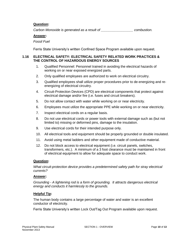# **Question:**

*Carbon Monoxide is generated as a result of \_\_\_\_\_\_\_\_\_\_\_\_\_\_\_\_\_ combustion.*

# **Answer:**

*Fossil Fuel*

Ferris State University's written Confined Space Program available upon request.

# <span id="page-12-0"></span>**1.16 ELECTRICAL SAFETY: ELECTRICAL SAFETY RELATED WORK PRACTICES & THE CONTROL OF HAZARDOUS ENERGY SOURCES**

- 1. Qualified Personnel: Personnel trained in avoiding the electrical hazards of working on or near exposed energized parts.
- 2. Only qualified employees are authorized to work on electrical circuitry.
- 3. Qualified employees shall utilize proper procedures prior to de-energizing and reenergizing of electrical circuitry.
- 4. Circuit-Protection Devices (CPD) are electrical components that protect against electrical damage and/or fire (i.e. fuses and circuit breakers).
- 5. Do not allow contact with water while working on or near electricity.
- 6. Employees must utilize the appropriate PPE while working on or near electricity.
- 7. Inspect electrical cords on a regular basis.
- 8. Do not use electrical cords or power tools with external damage such as (but not limited to) missing or deformed pins, damage to the insulation.
- 9. Use electrical cords for their intended purpose only.
- 10. All electrical tools and equipment should be properly grounded or double insulated.
- 11. Avoid using metal ladders and other equipment made of conductive material.
- 12. Do not block access to electrical equipment (i.e. circuit panels, switches, transformers, etc.). A minimum of a 3 foot clearance must be maintained in front of electrical equipment to allow for adequate space to conduct work.

# **Question:**

*What circuit-protection device provides a predetermined safety path for stray electrical currents?*

#### **Answer:**

*Grounding - A lightening rod is a form of grounding. It attracts dangerous electrical energy and conducts it harmlessly to the grounds.*

# **Helpful Tip:**

The human body contains a large percentage of water and water is an excellent conductor of electricity.

Ferris State University's written Lock Out/Tag Out Program available upon request*.*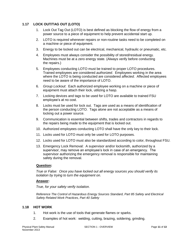# **1.17 LOCK OUT/TAG OUT (LOTO)**

- <span id="page-13-0"></span>1. Lock Out Tag Out (LOTO) is best defined as blocking the flow of energy from a power source to a piece of equipment to help prevent accidental start up.
- 2. LOTO is required whenever repairs or non-routine tasks need to be completed on a machine or piece of equipment.
- 3. Energy to be locked out can be electrical, mechanical, hydraulic or pneumatic, etc.
- 4. Employees must always consider the possibility of stored/residual energy. Machines must be at a zero energy state. (Always verify before conducting the repairs.)
- 5. Employees conducting LOTO must be trained to proper LOTO procedures. Trained employees are considered *authorized*. Employees working in the area where the LOTO is being conducted are considered *affected*. Affected employees need to be aware of the importance of LOTO.
- 6. *Group Lockout*: Each authorized employee working on a machine or piece of equipment must attach their lock, utilizing a hasp.
- 7. Locking devices and tags to be used for LOTO are available to trained FSU employee's at no cost.
- 8. Locks must be used for lock out. Tags are used as a means of identification of the person conducting LOTO. Tags alone are not acceptable as a means of locking out a power source.
- 9. Communication is essential between shifts, trades and contractors in regards to the repairs being made to the equipment that is locked out.
- 10. Authorized employees conducting LOTO shall have the only key to their lock.
- 11. Locks used for LOTO must only be used for LOTO purposes.
- 12. Locks used for LOTO must also be standardized according to color, throughout FSU.
- 13. Emergency Lock Removal: A supervisor and/or locksmith, authorized by a supervisor, may remove an employee's lock in case of an emergency. The supervisor authorizing the emergency removal is responsible for maintaining safety during the removal.

# **Question:**

*True or False: Once you have locked out all energy sources you should verify its isolation by trying to turn the equipment on.*

# **Answer:**

*True, for your safety verify isolation.*

*Reference The Control of Hazardous Energy Sources Standard, Part 85 Safety and Electrical Safety Related Work Practices, Part 40 Safety*

#### <span id="page-13-1"></span>**1.18 HOT WORK**

- 1. Hot work is the use of tools that generate flames or sparks.
- 2. Examples of hot work: welding, cutting, brazing, soldering, grinding.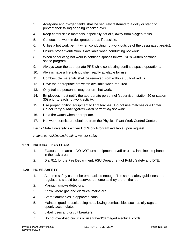- 3. Acetylene and oxygen tanks shall be securely fastened to a dolly or stand to prevent their falling or being knocked over.
- 4. Keep combustible materials, especially hot oils, away from oxygen tanks.
- 5. Conduct hot work in designated areas if possible.
- 6. Utilize a hot work permit when conducting hot work outside of the designated area(s).
- 7. Ensure proper ventilation is available when conducting hot work.
- 8. When conducting hot work in confined spaces follow FSU's written confined space program.
- 9. Always wear the appropriate PPE while conducting confined space operations.
- 10. Always have a fire extinguisher readily available for use.
- 11. Combustible materials shall be removed from within a 35 foot radius.
- 12. Have the appropriate fire watch available when required.
- 13. Only trained personnel may perform hot work.
- 14. Employees must notify the appropriate personnel (supervisor, station 20 or station 30) prior to each hot work activity.
- 15. Use proper ignition equipment to light torches. Do not use matches or a lighter. *Do not carry butane lighters when performing hot work*
- 16. Do a fire watch when appropriate.
- 17. Hot work permits are obtained from the Physical Plant Work Control Center.

Ferris State University's written Hot Work Program available upon request.

*Reference Welding and Cutting, Part 12 Safety*

# <span id="page-14-0"></span>**1.19 NATURAL GAS LEAKS**

- 1. Evacuate the area DO NOT turn equipment on/off or use a landline telephone in the leak area.
- 2. Dial 911 for the Fire Department, FSU Department of Public Safety and DTE.

# <span id="page-14-1"></span>**1.20 HOME SAFETY**

- 1. At home safety cannot be emphasized enough. The same safety guidelines and regulations should be observed at home as they are on the job.
- 2. Maintain smoke detectors.
- 3. Know where gas and electrical mains are.
- 4. Store flammables in approved cans.
- 5. Maintain good housekeeping not allowing combustibles such as oily rags to openly accumulate.
- 6. Label fuses and circuit breakers.
- 7. Do not over-load circuits or use frayed/damaged electrical cords.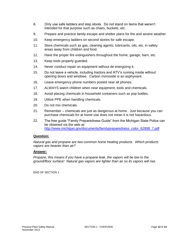- 8. Only use safe ladders and step stools. Do not stand on items that weren't intended for that purpose such as chairs, buckets, etc.
- 9. Prepare and practice family escape and shelter plans for fire and severe weather.
- 10. Keep emergency ladders on second stories for safe escape.
- 11. Store chemicals such as gas, cleaning agents, lubricants, oils, etc. in safety areas away from children and food.
- 12. Have the proper fire extinguishers throughout the home, garage, barn, etc.
- 13. Keep tools properly guarded.
- 14. Never conduct repair on equipment without de-energizing it.
- 15. Do not leave a vehicle, including tractors and ATV's running inside without opening doors and windows. Carbon monoxide is an asphyxiant.
- 16. Leave emergency phone numbers posted near all phones.
- 17. ALWAYS watch children when near equipment, tools and chemicals.
- 18. Avoid placing chemicals in household containers such as pop bottles.
- 19. Utilize PPE when handling chemicals.
- 20. Do not mix chemicals.
- 21. Remember chemicals are just as dangerous at home. Just because you can purchase chemicals for at home use does not mean it is not hazardous.
- 22. The free guide "Family Preparedness Guide" from the Michigan State Police can be obtained via the web at: [http://www.michigan.gov/documents/familypreparedness\\_color\\_62898\\_7.pdf](http://www.michigan.gov/documents/familypreparedness_color_62898_7.pdf)

#### **Question:**

*Natural gas and propane are two common home heating products. Which products vapors are heavier than air?*

#### **Answer:**

*Propane, this means if you have a propane leak, the vapors will be low to the ground/floor surface! Natural gas vapors are lighter than air so its vapors will rise.*

END OF SECTION 1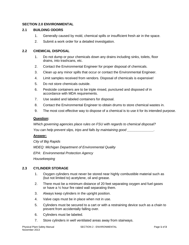# <span id="page-16-0"></span>**SECTION 2.0 ENVIRONMENTAL**

# <span id="page-16-1"></span>**2.1 BUILDING ODORS**

- 1. Generally caused by mold, chemical spills or insufficient fresh air in the space.
- 2. Submit a work order for a detailed investigation.

# <span id="page-16-2"></span>**2.2 CHEMICAL DISPOSAL**

- 1. Do not dump or pour chemicals down any drains including sinks, toilets, floor drains, into trashcans, etc.
- 2. Contact the Environmental Engineer for proper disposal of chemicals.
- 3. Clean up any minor spills that occur or contact the Environmental Engineer.
- 4. Limit samples received from vendors. Disposal of chemicals is expensive!
- 5. Do not store chemicals outside.
- 6. Pesticide containers are to be triple rinsed, punctured and disposed of in accordance with MDA requirements.
- 7. Use sealed and labeled containers for disposal.
- 8. Contact the Environmental Engineer to obtain drums to store chemical wastes in.
- 9. The most cost effective way to dispose of a chemical is to use it for its intended purpose.

# **Question:**

*Which governing agencies place rules on FSU with regards to chemical disposal? You can help prevent slips, trips and falls by maintaining good \_\_\_\_\_\_\_\_\_\_\_\_\_\_.*

# **Answer:**

*City of Big Rapids MDEQ: Michigan Department of Environmental Quality EPA: Environmental Protection Agency Housekeeping*

# <span id="page-16-3"></span>**2.3 CYLINDER STORAGE**

- 1. Oxygen cylinders must never be stored near highly combustible material such as (but not limited to) acetylene, oil and grease.
- 2. There must be a minimum distance of 20 feet separating oxygen and fuel gases or have a  $\frac{1}{2}$  hour fire rated wall separating them.
- 3. Always keep cylinders in the upright position.
- 4. Valve caps must be in place when not in use.
- 5. Cylinders must be secured to a cart or with a restraining device such as a chain to prevent from accidentally falling over.
- 6. Cylinders must be labeled.
- 7. Store cylinders in well ventilated areas away from stairways.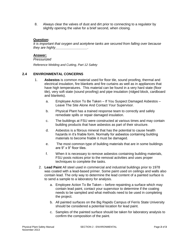8. Always clear the valves of dust and dirt prior to connecting to a regulator by slightly opening the valve for a brief second, when closing.

# **Question:**

*It is important that oxygen and acetylene tanks are secured from falling over because they are highly* 

# **Answer:**

# *Pressurized*

*Reference Welding and Cutting, Part 12 Safety*

# **2.4 ENVIRONMENTAL CONCERNS**

- <span id="page-17-0"></span>1. **Asbestos** is common material used for floor tile, sound proofing, thermal and electrical insulation, fire blankets and fire curtains as well as in appliances that have high temperatures. This material can be found in a very hard state (floor tile), very soft state (sound proofing) and pipe insulation (ridged block, cardboard and blankets).
	- a. Employee Action To Be Taken If You Suspect Damaged Asbestos Leave The Site Alone And Contact Your Supervisor.
	- b. Physical Plant has a trained response team to correctly and safely remediate spills or repair damaged insulation.
	- c. The buildings at FSU were constructed at various times and may contain building products that have asbestos as part of their structure.
	- d. Asbestos is a fibrous mineral that has the potential to cause health hazards in it's friable form. Normally for asbestos containing building materials to become friable it must be damaged.
	- e. The most common type of building materials that are in some buildings are 9" x 9" floor tiles.
	- f. When it is necessary to remove asbestos containing building materials, FSU posts notices prior to the removal activities and uses proper techniques to complete the tasks.
	- 2. **Lead Paint** All steel used in commercial and industrial buildings prior to 1978 was coated with a lead-based primer. Some paint used on ceilings and walls also contain lead. The only way to determine the lead content of a painted surface is to send a sample to a laboratory for analysis.
		- a. Employee Action To Be Taken before repainting a surface which may contain lead paint, contact your supervisor to determine if the coating needs to be sampled and what methods need to be used in completing the project.
		- b. All painted surfaces on the Big Rapids Campus of Ferris State University should be considered a potential location for lead paint.
		- c. Samples of the painted surface should be taken for laboratory analysis to confirm the composition of the paint.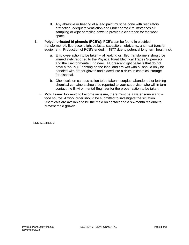- d. Any abrasive or heating of a lead paint must be done with respiratory protection, adequate ventilation and under some circumstances air sampling or wipe sampling down to provide a clearance for the work space.
- **3. Polychlorinated bi-phenols (PCB's):** PCB's can be found in electrical transformer oil, fluorescent light ballasts, capacitors, lubricants, and heat transfer equipment. Production of PCB's ended in 1977 due to potential long term health risk.
	- a. Employee action to be taken all leaking oil filled transformers should be immediately reported to the Physical Plant Electrical Trades Supervisor and the Environmental Engineer. Fluorescent light ballasts that do not have a "no PCB" printing on the label and are wet with oil should only be handled with proper gloves and placed into a drum in chemical storage for disposal.
	- b. Chemicals on campus action to be taken surplus, abandoned or leaking chemical containers should be reported to your supervisor who will in turn contact the Environmental Engineer for the proper action to be taken.
	- 4. **Mold Issue:** For mold to become an issue, there must be a water source and a food source. A work order should be submitted to investigate the situation. Chemicals are available to kill the mold on contact and a six-month residual to prevent mold growth.

END SECTION 2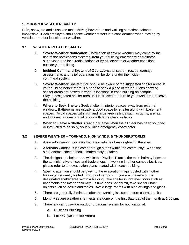# <span id="page-19-0"></span>**SECTION 3.0 WEATHER SAFETY**

Rain, snow, ice and slush can make driving hazardous and walking sometimes almost impossible. Each employee should take weather factors into consideration when moving by vehicle or on foot in inclement weather.

# **3.1 WEATHER RELATED SAFETY**

- 1. **Severe Weather Notifcation:** Notification of severe weather may come by the use of the notifications systems, from your building emergency coordinator, supervisor, and local radio stations or by observation of weather conditions outside your building.
- 2. **Incident Command System of Operations:** all search, rescue, damage assessments and relief operations will be done under the incident command system.
- 3. **Severe Weather Shelter:** You should be aware of the suggested shelter areas in your building before there is a need to seek a place of refuge. Plans showing shelter areas are posted in various locations in each building on campus. Stay in designated shelter area until instructed to return to your work area or leave the building.
- 4. **Where to Seek Shelter:** Seek shelter in interior spaces away from external windows. Bathrooms are usually a good space for shelter along with basement spaces. Avoid spaces with high and large area ceilings such as gyms, arenas, auditoriums, atriums and all areas with large glass surfaces.
- 5. **When to Leave a Shelter Area:** Only leave when the all clear has been sounded or instructed to do so by your building emergency coordinator.

# **3.2 SEVERE WEATHER – TORNADO, HIGH WINDS, & THUNDERSTORMS**

- <span id="page-19-1"></span>1. A tornado warning indicates that a tornado has been sighted in the area.
- 2. A tornado warning is indicated through sirens within the community. When the siren alarms, shelter should immediately be taken.
- 3. The designated shelter area within the Physical Plant is the main hallway between the administrative offices and trade shops. If working in other campus facilities, please refer to the evacuation plans located within each building.
- 4. Specific attention should be given to the evacuation maps posted within other buildings frequently visited throughout campus. If you are unaware of the designated shelter area within a building, take shelter in low level floors such as basements and interior hallways. If time does not permit, take shelter under objects such as desks and tables. Avoid large rooms with high ceilings and glass.
- 5. There are generally 3 minutes after the warning is issued before a tornado hits.
- 6. Monthly severe weather siren tests are done on the first Saturday of the month at 1:00 pm.
- 7. There is a campus-wide outdoor broadcast system for notification at:
	- a. Business Building
	- b. Lot #47 (west of Ice Arena)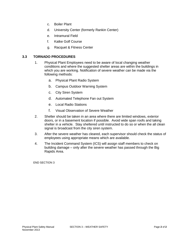- c. Boiler Plant
- d. University Center (formerly Rankin Center)
- e. Intramural Field
- f. Katke Golf Course
- g. Racquet & Fitness Center

# **3.3 TORNADO PROCEDURES**

- <span id="page-20-0"></span>1. Physical Plant Employees need to be aware of local changing weather conditions and where the suggested shelter areas are within the buildings in which you are working. Notification of severe weather can be made via the following methods:
	- a. Physical Plant Radio System
	- b. Campus Outdoor Warning System
	- c. City Siren System
	- d. Automated Telephone Fan out System
	- e. Local Radio Stations
	- f. Visual Observation of Severe Weather
- 2. Shelter should be taken in an area where there are limited windows, exterior doors, or in a basement location if possible. Avoid wide span roofs and taking shelter in a vehicle. Stay sheltered until instructed to do so or when the all clean signal is broadcast from the city siren system.
- 3. After the severe weather has cleared, each supervisor should check the status of employees using appropriate means which are available.
- 4. The Incident Command System (ICS) will assign staff members to check on building damage – only after the severe weather has passed through the Big Rapids Area.

END SECTION 3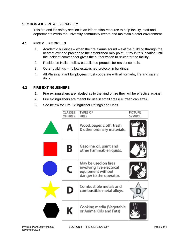# **SECTION 4.0 FIRE & LIFE SAFETY**

<span id="page-21-0"></span>This fire and life safety section is an information resource to help faculty, staff and departments within the university community create and maintain a safer environment.

# **4.1 FIRE & LIFE DRILLS**

- <span id="page-21-1"></span>1. Academic buildings – when the fire alarms sound – exit the building through the nearest exit and proceed to the established rally point. Stay in this location until the incident commander gives the authorization to re-center the facility.
- 2. Residence Halls follow established protocol for residence halls.
- 3. Other buildings follow established protocol in buildings.
- 4. All Physical Plant Employees must cooperate with all tornado, fire and safety drills.

# **4.2 FIRE EXTINGUISHERS**

- <span id="page-21-2"></span>1. Fire extinguishers are labeled as to the kind of fire they will be effective against.
- 2. Fire extinguishers are meant for use in small fires (i.e. trash can size).
- 3. See below for Fire Extinguisher Ratings and Uses

| CLASSES<br>OF FIRES | TYPES OF<br>FIRES                                                                                 | PICTURE<br>SYMBOL |
|---------------------|---------------------------------------------------------------------------------------------------|-------------------|
| А                   | Wood, paper, cloth, trash<br>& other ordinary materials.                                          |                   |
| Β                   | Gasoline, oil, paint and<br>other flammable liquids.                                              |                   |
| C                   | May be used on fires<br>involving live electrical<br>equipment without<br>danger to the operator. |                   |
| D                   | Combustible metals and<br>combustible metal alloys.                                               |                   |
| Κ                   | Cooking media (Vegetable<br>or Animal Oils and Fats)                                              |                   |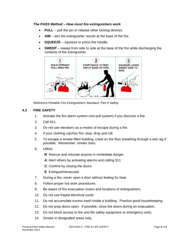# *The PASS Method – How most fire extinguishers work*

- **PULL** pull the pin or release other locking devices.
- **AIM** aim the extinguisher nozzle at the base of the fire.
- **SQUEEZE** squeeze or press the handle.
- **SWEEP** sweep from side to side at the base of the fire while discharging the contents of the extinguisher



*Reference Portable Fire Extinguishers Standard, Part 8 Safety*

# **4.3 FIRE SAFETY**

- <span id="page-22-0"></span>1. Activate the fire alarm system (red pull system) if you discover a fire.
- 2. Call 911.
- 3. Do not use elevators as a means of escape during a fire.
- 4. If your clothing catches fire; stop, drop and roll.
- 5. To escape a smoke filled building, crawl on the floor breathing through a wet rag if possible. Remember: smoke rises.
- 6. Utilize:
	- **R**: Rescue and relocate anyone in immediate danger
	- **A**: Alert others by activating alarms and calling 911
	- **C**: Confine by closing the doors
	- **E**: Extinguish/evacuate
- 7. During a fire, never open a door without feeling for heat.
- 8. Follow proper hot work procedures.
- 9. Be aware of fire evacuation routes and locations of extinguishers.
- 10. Do not use frayed electrical cords.
- 11. Do not accumulate excess trash inside a building. Practice good housekeeping.
- 12. Do not prop doors open. If possible, close the doors during an evacuation.
- 13. Do not block access to fire and life safety equipment or emergency exits.
- 14. Smoke in designated areas only.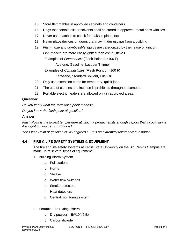- 15. Store flammables in approved cabinets and containers.
- 16. Rags that contain oils or solvents shall be stored in approved metal cans with lids.
- 17. Never use matches to check for leaks in pipes, etc.
- 18. Never place devices on doors that may hinder escape from a building
- 19. *Flammable* and *combustible* liquids are categorized by their ease of ignition. *Flammables* are more easily ignited than *combustibles*. Examples of *Flammables* (Flash Point of <100 F)

Acetone, Gasoline, Lacquer Thinner

Examples of *Combustibles* (Flash Point of >100 F)

Kerosene, Stoddard Solvent, Fuel Oil

- 20. Only use extension cords for temporary, quick jobs.
- 21. The use of candles and incense is prohibited throughout campus.
- 22. Portable electric heaters are allowed only in approved areas.

# **Question:**

*Do you know what the term flash point means?*

*Do you know the flash point of gasoline?*

# **Answer:**

*Flash Point is the lowest temperature at which a product emits enough vapors that it could ignite if an ignition source is introduced.*

*The Flash Point of gasoline is -45 degrees F. It is an extremely flammable substance.*

# **4.4 FIRE & LIFE SAFETY SYSTEMS & EQUIPMENT**

<span id="page-23-0"></span>The fire and life safety systems at Ferris State University on the Big Rapids Campus are made up of several types of equipment:

- 1. Building Alarm System
	- a. Pull stations
	- b. Horns
	- c. Strobes
	- d. Water flow switches
	- e. Smoke detectors
	- f. Heat detectors
	- g. Central monitoring system
- 2. Portable Fire Extinguishers
	- a. Dry powder  $-5\frac{\text{#}}{10\text{#}}2.5\text{#}$
	- b. Carbon dioxide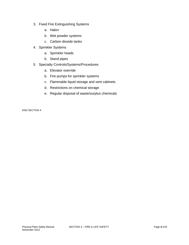- 3. Fixed Fire Extinguishing Systems
	- a. Halon
	- b. Wet powder systems
	- c. Carbon dioxide tanks
- 4. Sprinkler Systems
	- a. Sprinkler heads
	- b. Stand pipes
- 5. Specialty Controls/Systems/Procedures
	- a. Elevator override
	- b. Fire pumps for sprinkler systems
	- c. Flammable liquid storage and vent cabinets
	- d. Restrictions on chemical storage
	- e. Regular disposal of waste/surplus chemicals

END SECTION 4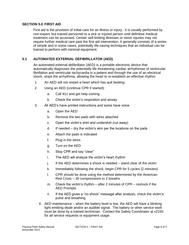# **SECTION 5.0 FIRST AID**

<span id="page-25-0"></span>First aid is the provision of initial care for an illness or injury. It is usually performed by non-expert, but trained personnel to a sick or injured person until definitive medical treatment can be accessed. Certain self-limiting illnesses or minor injuries may not require further medical care past the first aid intervention. It generally consists of a series of simple and in some cases, potentially life-saving techniques that an individual can be trained to perform with minimal equipment.

# **5.1 AUTOMATED EXTERNAL DEFIBRILLATOR (AED)**

<span id="page-25-1"></span>An automated external defibrillator (AED) is a portable electronic device that automatically diagnoses the potentially life threatening cardiac arrhythmias of ventricular fibrillation and ventricular tachycardia in a patient and through the use of an electrical shock, stops the arrhythmia, allowing the heart to re-establish an effective rhythm.

- 1. An AED will not restart a heart which has quit beating.
- 2. Using an AED (continue CPR if started):
	- a. Call 911 and get help coming
	- b. Check the victim's respiration and airway
- 3. All AED's have printed instructions and some have voice
	- a. Open the AED
	- b. Remove the two pads with wires attached
	- c. Open the victim's shirt and undershirt (cut away)
	- d. If needed dry the victim's skin per the locations on the pads
	- e. Attach the pads is indicated
	- f. Plug in the wires
	- g. Turn on the AED
	- h. Stop CPR and say "clear"
	- i. The AED will analyze the victim's heart rhythm
	- j. If the AED determines a shock is needed stand clear of the victim
	- k. Immediately following the shock, begin CPR for 5 cycles (2 minutes)
	- l. CPR should be done using the method determined by the American Red Cross – 30 compressions to 2 breaths
	- m. Check the victim's rhythm after 2 minutes of CPR reshock if the AED Prompts
	- n. If the AED gives a "no shock" message after analysis, check the victim's pulse and breathing
	- 4. AED maintenance when the battery level is low, the AED will have a blinking light emitting diode and/or an audible signal. The battery or other service work must be done by a trained technician. Contact the Safety Coordinator at x2150 for all service requests or equipment usage.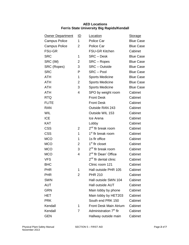# **AED Locations Ferris State University Big Rapids/Kendall**

| <b>Owner Department</b> | <u>ID</u>      | Location                           | <b>Storage</b>   |
|-------------------------|----------------|------------------------------------|------------------|
| <b>Campus Police</b>    | 1              | Police Car                         | <b>Blue Case</b> |
| <b>Campus Police</b>    | 2              | Police Car                         | <b>Blue Case</b> |
| <b>FSU-GR</b>           |                | <b>FSU-GR Kitchen</b>              | Cabinet          |
| <b>SRC</b>              | 1              | <b>SRC-Desk</b>                    | <b>Blue Case</b> |
| SRC (IM)                | 2              | SRC - Ropes                        | <b>Blue Case</b> |
| SRC (Ropes)             | 3              | <b>SRC</b> – Outside               | <b>Blue Case</b> |
| <b>SRC</b>              | P              | SRC-Pool                           | <b>Blue Case</b> |
| <b>ATH</b>              | 1              | <b>Sports Medicine</b>             | <b>Blue Case</b> |
| <b>ATH</b>              | 2              | <b>Sports Medicine</b>             | <b>Blue Case</b> |
| <b>ATH</b>              | 3              | <b>Sports Medicine</b>             | <b>Blue Case</b> |
| <b>ATH</b>              | 4              | SPO by weight room                 | Cabinet          |
| <b>RTQ</b>              |                | <b>Front Desk</b>                  | Cabinet          |
| <b>FLITE</b>            |                | <b>Front Desk</b>                  | Cabinet          |
| <b>RAN</b>              |                | Outside RAN 243                    | Cabinet          |
| <b>WIL</b>              |                | Outside WIL 153                    | Cabinet          |
| <b>ICE</b>              |                | Ice Arena                          | Cabinet          |
| <b>KAT</b>              |                | Lobby                              | Cabinet          |
| <b>CSS</b>              | $\overline{2}$ | 2 <sup>nd</sup> flr break room     | Cabinet          |
| <b>CSS</b>              | 1              | 1 <sup>st</sup> flr break room     | Cabinet          |
| <b>MCO</b>              | 1              | 1s flr office                      | Cabinet          |
| <b>MCO</b>              | $\overline{2}$ | 1 <sup>st</sup> flr closet         | Cabinet          |
| <b>MCO</b>              | 3              | 2 <sup>nd</sup> fir break room     | Cabinet          |
| <b>MCO</b>              | 4              | 2 <sup>nd</sup> flr Dean' Office   | Cabinet          |
| <b>VFS</b>              |                | $2nd$ fir dental clinic            | Cabinet          |
| <b>BHC</b>              |                | Clinic room 121                    | Cabinet          |
| <b>PHR</b>              | 1              | Hall outside PHR 105               | Cabinet          |
| <b>PHR</b>              | 2              | <b>PHR 210</b>                     | Cabinet          |
| <b>SWN</b>              |                | Hall outside SWN 104               | Cabinet          |
| <b>AUT</b>              |                | <b>Hall outside AUT</b>            | Cabinet          |
| <b>GRN</b>              |                | Main lobby by phone                | Cabinet          |
| <b>HET</b>              |                | Main lobby by HET203               | Cabinet          |
| <b>PRK</b>              |                | South end PRK 150                  | Cabinet          |
| Kendall                 | 1              | <b>Front Desk Main Atrium</b>      | Cabinet          |
| Kendall                 | $\overline{7}$ | Administration 7 <sup>th</sup> flr | Cabinet          |
| GEN                     |                | Hallway outside main               | Cabinet          |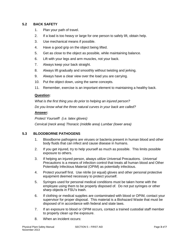# **5.2 BACK SAFETY**

- <span id="page-27-0"></span>1. Plan your path of travel.
- 2. If a load is too heavy or large for one person to safely lift, obtain help.
- 3. Use mechanical means if possible.
- 4. Have a good grip on the object being lifted.
- 5. Get as close to the object as possible, while maintaining balance.
- 6. Lift with your legs and arm muscles, not your back.
- 7. Always keep your back straight.
- 8. Always lift gradually and smoothly without twisting and jerking.
- 9. Always have a clear view over the load you are carrying.
- 10. Put the object down, using the same concepts.
- 11. Remember, exercise is an important element to maintaining a healthy back.

# **Question:**

*What is the first thing you do prior to helping an injured person?*

*Do you know what the three natural curves in your back are called?*

# **Answer:**

*Protect Yourself! (i.e. latex gloves)*

<span id="page-27-1"></span>*Cervical (neck area) Thoracic (middle area) Lumbar (lower area)*

# **5.3 BLOODBORNE PATHOGENS**

- 1. Bloodborne pathogens are viruses or bacteria present in human blood and other body fluids that can infect and cause disease in humans.
- 2. If you get injured, try to help yourself as much as possible. This limits possible exposure to others.
- 3. If helping an injured person, always utilize Universal Precautions. *Universal Precautions* is a means of infection control that treats all human blood and Other Potentially Infectious Material (OPIM) as potentially infectious.
- 4. Protect yourself first. Use nitrile (or equal) gloves and other personal protective equipment deemed necessary to protect yourself.
- 5. Syringes used for personal medical conditions must be taken home with the employee using them to be properly disposed of. Do not put syringes or other sharp objects in FSU's trash.
- 6. If clothing or medical supplies are contaminated with blood or OPIM, contact your supervisor for proper disposal. This material is a Biohazard Waste that must be disposed of in accordance with federal and state laws.
- 7. If an exposure to blood or OPIM occurs, contact a trained custodial staff member to properly clean up the exposure.
- 8. When an incident occurs: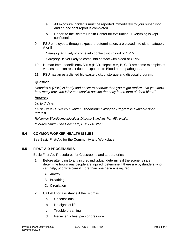- a. All exposure incidents must be reported immediately to your supervisor and an accident report is completed.
- b. Report to the Birkam Health Center for evaluation. Everything is kept confidential.
- 9. FSU employees, through exposure determination, are placed into either category A or B:

*Category A:* Likely to come into contact with blood or OPIM.

*Category B:* Not likely to come into contact with blood or OPIM

- 10. Human Immunodeficiency Virus (HIV), Hepatitis A, B, C, D are some examples of viruses that can result due to exposure to Blood borne pathogens.
- 11. FSU has an established bio-waste pickup, storage and disposal program.

# **Question:**

*Hepatitis B (HBV) is hardy and easier to contract than you might realize. Do you know how many days the HBV can survive outside the body in the form of dried blood?*

# **Answer:**

*Up to 7 days*

*Ferris State University's written Bloodborne Pathogen Program is available upon request.*

*Reference Bloodborne Infectious Disease Standard, Part 554 Health*

<span id="page-28-0"></span>*\*Source SmithKline Beecham, EBO880, 2/96*

# **5.4 COMMON WORKER HEALTH ISSUES**

See Basic First-Aid for the Community and Workplace.

# **5.5 FIRST AID PROCEDURES**

<span id="page-28-1"></span>Basic First-Aid Procedures for Classrooms and Laboratories

- 1. Before attending to any injured individual, determine if the scene is safe, determine how many people are injured, determine if there are bystanders who can help, prioritize care if more than one person is injured.
	- A. Airway
	- B. Breathing
	- C. Circulation
- 2. Call 911 for assistance if the victim is:
	- a. Unconscious
	- b. No signs of life
	- c. Trouble breathing
	- d. Persistent chest pain or pressure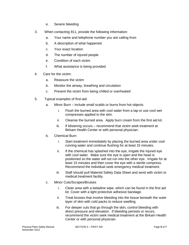- e. Severe bleeding
- 3. When contacting 911, provide the following information:
	- a. Your name and telephone number you are calling from
	- b. A description of what happened
	- c. Your exact location
	- d. The number of injured people
	- e. Condition of each victim
	- f. What assistance is being provided
- 4. Care for the victim:
	- a. Reassure the victim
	- b. Monitor the airway, breathing and circulation
	- c. Prevent the victim from being chilled or overheated
- 5. Typical examples of first-aid:
	- a. Minor Burn include small scalds or burns from hot objects.
		- i. Flush the burned area with cool water from a tap or use cool wet compresses applied to the skin.
		- ii. Cleanse the burned area. Apply burn cream from the first aid kit.
		- iii. If blistering occurs recommend that victim seek treatment at Birkam Health Center or with personal physician.
	- b. Chemical Burn
		- i. Start treatment immediately by placing the burned area under cool running water and continue flushing for at least 15 minutes.
		- ii. If the chemical has splashed into the eye, irrigate the injured eye with cool water. Make sure the eye is open and the head is positioned so the water will not run into the other eye. Irrigate for at least 15 minutes and then cover the eye with a sterile compress. Recommend the individual seek emergency medical treatment.
		- iii. Staff should pull Material Safety Data Sheet and send with victim to medical treatment facility.
	- c. Minor Cuts/Scrapes/Bruises
		- i. Clean area with a betadine wipe, which can be found in the first aid kit. Cover with a light protective adhesive bandage.
		- ii. Treat bruises that involve bleeding into the tissue beneath the outer layer of skin with cold packs to reduce swelling.
		- iii. For deeper cuts that go through the skin, control bleeding with direct pressure and elevation. If bleeding persists or recurs, recommend the victim seek medical treatment at the Birkam Health Center or with personal physician.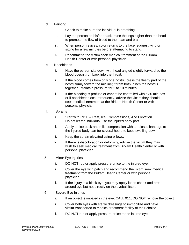- d. Fainting
	- i. Check to make sure the individual is breathing.
	- ii. Lay the person on his/her back, raise the legs higher than the head to promote the flow of blood to the heart and brain.
	- iii. When person revives, color returns to the face, suggest lying or sitting for a few minutes before attempting to stand.
	- iv. Recommend the victim seek medical treatment at the Birkam Health Center or with personal physician.
- e. Nosebleeds
	- i. Have the person site down with head angled slightly forward so the blood doesn't run back into the throat.
	- ii. If the blood comes from only one nostril, press the fleshy part of the nostril firmly toward the midline; if from both, pinch the nostrils together. Maintain pressure for 5 to 10 minutes.
	- iii. If the bleeding is profuse or cannot be controlled within 30 minutes or if nosebleeds occur frequently, advise the victim they should seek medical treatment at the Birkam Health Center or with personal physician.
- f. Sprains
	- i. Start with RICE Rest, Ice, Compressions, And Elevation. Do not let the individual use the injured body part.
	- ii. Apply an ice pack and mild compression with an elastic bandage to the injured body part for several hours to keep swelling down.
	- iii. Keep the sprain elevated using pillows.
	- iv. If there is discoloration or deformity, advise the victim they may wish to seek medical treatment from Birkam Health Center or with personal physician.
- 5. Minor Eye Injuries
	- i. DO NOT rub or apply pressure or ice to the injured eye.
	- ii. Cover the eye with patch and recommend the victim seek medical treatment from the Birkam Health Center or with personal physician.
	- iii. If the injury is a black eye, you may apply ice to cheek and area around eye but not directly on the eyeball itself.
- 6. Severe Eye Injuries
	- i. If an object is impaled in the eye, CALL 911, DO NOT remove the object.
	- ii. Cover both eyes with sterile dressings to immobilize and have victim transported to medical treatment facility of their choice.
	- iii. DO NOT rub or apply pressure or ice to the injured eye.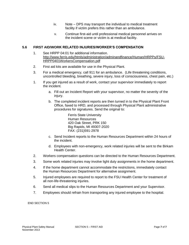- iv. Note DPS may transport the individual to medical treatment facility if victim prefers this rather than an ambulance.
- <span id="page-31-0"></span>v. Continue first-aid until professional medical personnel arrives on the incident scene or victim is at medical facility.

# **5.6 FIRST AID/WORK RELATED INJURIES/WORKER'S COMPENSATION**

- 1. See HRPP 04:01 for additional information. [http://www.ferris.edu/htmls/administration/adminandfinance/Human/HRPPs/FSU-](http://www.ferris.edu/htmls/administration/adminandfinance/Human/HRPPs/FSU-HRPP0401WorkersCompensation.pdf)[HRPP0401WorkersCompensation.pdf](http://www.ferris.edu/htmls/administration/adminandfinance/Human/HRPPs/FSU-HRPP0401WorkersCompensation.pdf)
- 2. First aid kits are available for use in the Physical Plant.
- 3. For a medical emergency, call 911 for an ambulance. (Life threatening conditions, uncontrolled bleeding, breathing, severe injury, loss of consciousness, chest pain, etc.)
- 1. If you get injured as a result of work, contact your supervisor immediately to report the incident.
	- a. Fill out an Incident Report with your supervisor, no matter the severity of the injury.
	- b. The completed incident reports are then turned in to the Physical Plant Front Office, faxed to HRD, and processed through Physical Plant administrative procedures for signatures. Send the original to:

Ferris State University Human Resources 420 Oak Street, PRK 150 Big Rapids, MI 49307-2020 FAX: (231)591-2978

- c. Send Incident reports to the Human Resources Department within 24 hours of the incident.
- d. Employees with non-emergency, work related injuries will be sent to the Birkam Health Center.
- 2. Workers compensation questions can be directed to the Human Resources Department.
- 3. Some work related injuries may involve light duty assignments in the home department.
- 4. If the home department cannot accommodate the restrictions, immediately contact the Human Resources Department for alternative assignment.
- 5. Injured employees are required to report to the FSU Health Center for treatment of all non-life-threatening injuries.
- 6. Send all medical slips to the Human Resources Department and your Supervisor.
- 7. Employees should refrain from transporting any injured employee to the hospital.

END SECTION 5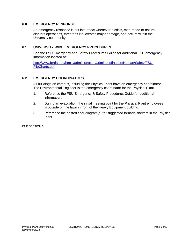# **6.0 EMERGENCY RESPONSE**

<span id="page-32-0"></span>An emergency response is put into effect whenever a crisis, man-made or natural, disrupts operations, threatens life, creates major damage, and occurs within the University community.

# **6.1 UNIVERSITY WIDE EMERGENCY PROCEDURES**

<span id="page-32-1"></span>See the FSU Emergency and Safety Procedures Guide for additional FSU emergency information located at:

[http://www.ferris.edu/htmls/administration/adminandfinance/Human/Safety/FSU-](http://www.ferris.edu/htmls/administration/adminandfinance/Human/Safety/FSU-FlipCharts.pdf)[FlipCharts.pdf](http://www.ferris.edu/htmls/administration/adminandfinance/Human/Safety/FSU-FlipCharts.pdf)

# **6.2 EMERGENCY COORDINATORS**

<span id="page-32-2"></span>All buildings on campus, including the Physical Plant have an emergency coordinator. The Environmental Engineer is the emergency coordinator for the Physical Plant.

- 1. Reference the FSU Emergency & Safety Procedures Guide for additional information.
- 2. During an evacuation, the initial meeting point for the Physical Plant employees is outside on the lawn in front of the Heavy Equipment building.
- 3. Reference the posted floor diagram(s) for suggested tornado shelters in the Physical Plant.

END SECTION 6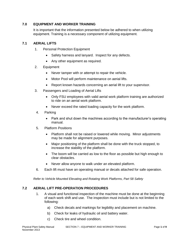# **7.0 EQUIPMENT AND WORKER TRAINING**

<span id="page-33-1"></span><span id="page-33-0"></span>It is important that the information presented below be adhered to when utilizing equipment. Training is a necessary component of utilizing equipment.

# **7.1 AERIAL LIFTS**

- 1. Personal Protection Equipment
	- Safety harness and lanyard. Inspect for any defects.
	- Any other equipment as required.
- 2. Equipment
	- Never tamper with or attempt to repair the vehicle.
	- Motor Pool will perform maintenance on aerial lifts.
	- Report known hazards concerning an aerial lift to your supervisor.
- 3. Passengers and Loading of Aerial Lifts
	- Only FSU employees with valid aerial work platform training are authorized to ride on an aerial work platform.
	- Never exceed the rated loading capacity for the work platform.
- 4. Parking
	- Park and shut down the machines according to the manufacturer's operating manual.
- 5. Platform Positions
	- Platform shall not be raised or lowered while moving. Minor adjustments may be made for alignment purposes.
	- Major positioning of the platform shall be done with the truck stopped, to increase the stability of the platform.
	- The boom will be carried as low to the floor as possible but high enough to clear obstacles.
	- Never allow anyone to walk under an elevated platform.
- 6. Each lift must have an operating manual or decals attached for safe operation.

*Refer to Vehicle Mounted Elevating and Rotating Work Platforms, Part 58 Safety*

# **7.2 AERIAL LIFT PRE-OPERATION PROCEDURES**

- <span id="page-33-2"></span>1. A visual and functional inspection of the machine must be done at the beginning of each work shift and use. The inspection must include but is not limited to the following:
	- a) Check decals and markings for legibility and placement on machine.
	- b) Check for leaks of hydraulic oil and battery water.
	- c) Check tire and wheel condition.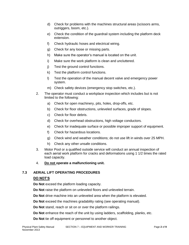- d) Check for problems with the machines structural areas (scissors arms, outriggers, boom, etc.).
- e) Check the condition of the guardrail system including the platform deck extension.
- f) Check hydraulic hoses and electrical wiring.
- g) Check for any loose or missing parts.
- h) Make sure the operator's manual is located on the unit.
- i) Make sure the work platform is clean and uncluttered.
- j) Test the ground control functions.
- k) Test the platform control functions.
- l) Test the operation of the manual decent valve and emergency power system.
- m) Check safety devices (emergency stop switches, etc.).
- 2. The operator must conduct a workplace inspection which includes but is not limited to the following:
	- a) Check for open machinery, pits, holes, drop-offs, etc.
	- b) Check for floor obstructions, unleveled surfaces, grade of slopes.
	- c) Check for floor debris.
	- d) Check for overhead obstructions, high voltage conductors.
	- e) Check for inadequate surface or possible improper support of equipment.
	- f) Check for hazardous locations.
	- g) Check wind and weather conditions; do not use lift in winds over 25 MPH.
	- h) Check any other unsafe conditions.
- 3. Motor Pool or a qualified outside service will conduct an annual inspection of each aerial work platform for cracks and deformations using 1 1/2 times the rated load capacity.
- <span id="page-34-0"></span>4. **Do not operate a malfunctioning unit.**

# **7.3 AERIAL LIFT OPERATING PROCEDURES**

# **DO NOT'S**

**Do Not** exceed the platform loading capacity.

- **Do Not** raise the platform on unleveled floors and unleveled terrain.
- **Do Not** drive machine into an unleveled area when the platform is elevated.
- **Do Not** exceed the machines gradability rating (see operating manual).
- **Do Not** stand, reach or sit on or over the platform railings.
- **Do Not** enhance the reach of the unit by using ladders, scaffolding, planks, etc.
- **Do Not** tie off equipment or personnel to another object.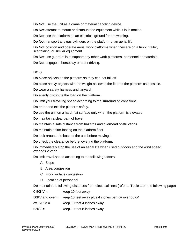**Do Not** use the unit as a crane or material handling device.

**Do Not** attempt to mount or dismount the equipment while it is in motion.

**Do Not** use the platform as an electrical ground for arc welding.

**Do Not** transport any gas cylinders on the platform of an aerial lift.

**Do Not** position and operate aerial work platforms when they are on a truck, trailer, scaffolding, or similar equipment.

**Do Not** use guard rails to support any other work platforms, personnel or materials.

**Do Not** engage in horseplay or stunt driving.

# **DO'S**

**Do** place objects on the platform so they can not fall off.

**Do** place heavy objects with the weight as low to the floor of the platform as possible.

**Do** wear a safety harness and lanyard.

**Do** evenly distribute the load on the platform.

**Do** limit your traveling speed according to the surrounding conditions.

**Do** enter and exit the platform safely.

**Do** use the unit on a hard, flat surface only when the platform is elevated.

**Do** maintain a clear path of travel.

**Do** maintain a safe distance from hazards and overhead obstructions.

**Do** maintain a firm footing on the platform floor.

**Do** look around the base of the unit before moving it.

**Do** check the clearance before lowering the platform.

**Do** immediately stop the use of an aerial life when used outdoors and the wind speed exceeds 25mph

**Do** limit travel speed according to the following factors:

- A. Slope
- B. Area congestion
- C. Floor surface congestion
- D. Location of personnel

**Do** maintain the following distances from electrical lines (refer to Table 1 on the following page)

| $0 - 50$ KV = | keep 10 feet away                                                |
|---------------|------------------------------------------------------------------|
|               | 50KV and over = keep 10 feet away plus 4 inches per KV over 50KV |
| ex. $51KV =$  | keep 10 feet 4 inches away                                       |
| $52KV =$      | keep 10 feet 8 inches away                                       |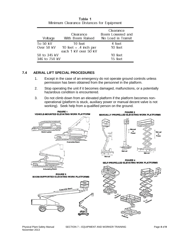| Voltage       | Clearance<br>With Boom Raised | Clearance<br>Boom Lowered and<br>No Load in Transit |
|---------------|-------------------------------|-----------------------------------------------------|
| To 50 kV      | 10 feet                       | 4 feet                                              |
| Over 50 kV    | 10 feet $+$ .4 inch per       | 10 feet                                             |
|               | each 1 kV over 50 kV          |                                                     |
| 50 to 345 kV  |                               | 10 feet                                             |
| 346 to 750 kV |                               | 15 feet                                             |

#### Table 1 Minimum Clearance Distances for Equipment

# **7.4 AERIAL LIFT SPECIAL PROCEDURES**

- <span id="page-36-0"></span>1. Except in the case of an emergency do not operate ground controls unless permission has been obtained from the personnel in the platform.
- 2. Stop operating the unit if it becomes damaged, malfunctions, or a potentially hazardous condition is encountered.
- 3. Do not climb down from an elevated platform if the platform becomes nonoperational (platform is stuck, auxiliary power or manual decent valve is not working). Seek help from a qualified person on the ground.

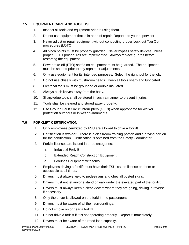# **7.5 EQUIPMENT CARE AND TOOL USE**

- <span id="page-37-0"></span>1. Inspect all tools and equipment prior to using them.
- 2. Do not use equipment that is in need of repair. Report it to your supervisor.
- 3. Never adjust or repair equipment without conducting proper Lock out Tag Out procedures (LOTO).
- 4. All pinch points must be properly guarded. Never bypass safety devices unless proper LOTO procedures are implemented. Always replace guards before restarting the equipment.
- 5. Power take-off (PTO) shafts on equipment must be guarded. The equipment must be shut off prior to any repairs or adjustments.
- 6. Only use equipment for its' intended purposes. Select the right tool for the job.
- 7. Do not use chisels with mushroom heads. Keep all tools sharp and lubricated.
- 8. Electrical tools must be grounded or double insulated.
- 9. Always push knives away from the body.
- 10. Sharp-edge tools shall be stored in such a manner to prevent injuries.
- 11. Tools shall be cleaned and stored away properly.
- <span id="page-37-1"></span>12. Use Ground Fault Circuit Interrupters (GFCI) when appropriate for worker protection outdoors or in wet environments.

# **7.6 FORKLIFT CERTIFICATION**

- 1. Only employees permitted by FSU are allowed to drive a forklift.
- 2. Certification is two-tier. There is a classroom training portion and a driving portion for the certification. Certification is obtained from the Safety Coordinator.
- 3. Forklift licenses are issued in three categories:
	- a. Industrial Forklift
	- b. Extended Reach Construction Equipment
	- c. Grounds Equipment with forks
- 4. Employees driving a forklift must have their FSU issued license on them or accessible at all times.
- 5. Drivers must always yield to pedestrians and obey all posted signs.
- 6. Drivers must not let anyone stand or walk under the elevated part of the forklift.
- 7. Drivers must always keep a clear view of where they are going, driving in reverse if necessary
- 8. Only the driver is allowed on the forklift no passengers.
- 9. Drivers must be aware of all their surroundings.
- 10. Do not smoke on or near a forklift.
- 11. Do not drive a forklift if it is not operating properly. Report it immediately.
- 12. Drivers must be aware of the rated load capacity.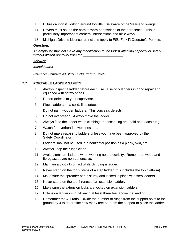- 13. Utilize caution if working around forklifts. Be aware of the "rear-end swings."
- 14. Drivers must sound the horn to warn pedestrians of their presence. This is particularly important at corners, intersections and aisle ways.
- 15. Michigan Driver's License restrictions apply to FSU Forklift Operator's Permits.

#### **Question:**

*An employer shall not make any modification to the forklift affecting capacity or safety without written approval from the \_\_\_\_\_\_\_\_\_\_\_\_\_\_\_\_\_\_\_\_\_.*

#### **Answer:**

#### *Manufacturer*

<span id="page-38-0"></span>*Reference Powered Industrial Trucks, Part 21 Safety*

# **7.7 PORTABLE LADDER SAFETY**

- 1. Always inspect a ladder before each use. Use only ladders in good repair and equipped with safety shoes.
- 2. Report defects to your supervisor.
- 3. Place ladders on a solid, flat surface.
- 4. Do not paint wooden ladders. This conceals defects.
- 5. Do not over-reach. Always move the ladder.
- 6. Always face the ladder when climbing or descending and hold onto each rung.
- 7. Watch for overhead power lines, etc.
- 8. Do not make repairs to ladders unless you have been approved by the Safety Coordinator.
- 9. Ladders shall not be used in a horizontal position as a plank, skid, etc.
- 10. Always keep the rungs clean.
- 11. Avoid aluminum ladders when working near electricity. Remember, wood and fibreglasses are non-conductive.
- 12. Maintain a 3-point contact while climbing a ladder.
- 13. Never stand on the top 2 steps of a step ladder (this includes the top platform).
- 14. Make sure the spreader bar is sturdy and locked in place with step ladders.
- 15. Never stand on the top 4 rungs of an extension ladder.
- 16. Make sure the extension locks are locked on extension ladders.
- 17. Extension ladders should reach at least three feet above the landing.
- 18. Remember the 4:1 ratio. Divide the number of rungs from the support point to the ground by 4 to determine how many feet out from the support to place the ladder.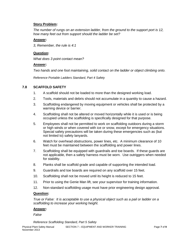# **Story Problem:**

*The number of rungs on an extension ladder, from the ground to the support port is 12, how many feet out from support should the ladder be set?*

# **Answer:**

*3, Remember, the rule is 4:1*

# **Question:**

*What does 3 point contact mean?*

# **Answer:**

*Two hands and one foot maintaining, solid contact on the ladder or object climbing onto.*

<span id="page-39-0"></span>*Reference Portable Ladders Standard, Part 4 Safety*

# **7.8 SCAFFOLD SAFETY**

- 1. A scaffold should not be loaded to more than the designed working load.
- 2. Tools, materials and debris should not accumulate in a quantity to cause a hazard.
- 3. Scaffolding endangered by moving equipment or vehicles shall be protected by a warning device or barrier.
- 4. Scaffolding shall not be altered or moved horizontally while it is used or is being occupied unless the scaffolding is specifically designed for that purpose.
- 5. Employees shall not be permitted to work on scaffolding outdoors during a storm or high winds or when covered with ice or snow, except for emergency situations. Special safety precautions will be taken during these emergencies such as (but not limited to) safety lanyards.
- 6. Watch for overhead obstructions, power lines, etc. A minimum clearance of 10 feet must be maintained between the scaffolding and power lines.
- 7. Scaffolding shall be equipped with guardrails and toe boards. If these guards are not applicable, then a safety harness must be worn. Use outriggers when needed for stability.
- 8. Planks shall be scaffold grade and capable of supporting the intended load.
- 9. Guardrails and toe boards are required on any scaffold over 15 feet.
- 10. Scaffolding shall not be moved until its height is reduced to 15 feet.
- 11. Prior to using the Genie Man lift, see your supervisor for training information.
- 12. Non-standard scaffolding usage must have prior engineering design approval.

#### **Question:**

*True or False: It is acceptable to use a physical object such as a pail or ladder on a scaffolding to increase your working height.*

#### **Answer:**

#### *False*

*Reference Scaffolding Standard, Part 5 Safety*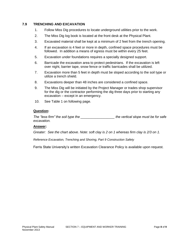# **7.9 TRENCHING AND EXCAVATION**

- <span id="page-40-0"></span>1. Follow Miss Dig procedures to locate underground utilities prior to the work.
- 2. The Miss Dig log book is located at the front desk at the Physical Plant.
- 3. Excavated material shall be kept at a minimum of 2 feet from the trench opening.
- 4. If an excavation is 4 feet or more in depth, confined space procedures must be followed. In addition a means of egress must be within every 25 feet.
- 5. Excavation under foundations requires a specially designed support.
- 6. Barricade the excavation area to protect pedestrians. If the excavation is left over night, barrier tape, snow fence or traffic barricades shall be utilized.
- 7. Excavation more than 5 feet in depth must be sloped according to the soil type or utilize a trench shield.
- 8. Excavations deeper than 48 inches are considered a confined space.
- 9. The Miss Dig will be initiated by the Project Manager or trades shop supervisor for the dig or the contractor performing the dig three days prior to starting any excavation – except in an emergency.
- 10. See Table 1 on following page.

# **Question:**

*The "less firm" the soil type the \_\_\_\_\_\_\_\_\_\_\_\_\_\_\_\_\_\_ the vertical slope must be for safe excavation.*

#### **Answer:**

*Greater: See the chart above. Note: soft clay is 2 on 1 whereas firm clay is 2/3 on 1.*

*Reference Excavation, Trenching and Shoring, Part 9 Construction Safety*

Ferris State University's written Excavation Clearance Policy is available upon request.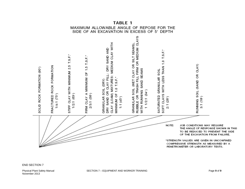

SECTION 7 - EQUIPMENT AND WORKER TRAINING

TABLE 1 MAXIMUM ALLOWABLE ANGLE OF REPOSE FOR THE

END SECTION 7

Physical Plant Safety Manual November 2013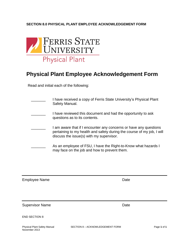# **SECTION 8.0 PHYSICAL PLANT EMPLOYEE ACKNOWLEDGEMENT FORM**



# <span id="page-42-0"></span>**Physical Plant Employee Acknowledgement Form**

Read and initial each of the following:

| I have received a copy of Ferris State University's Physical Plant<br>Safety Manual.                                                                                                    |
|-----------------------------------------------------------------------------------------------------------------------------------------------------------------------------------------|
| I have reviewed this document and had the opportunity to ask<br>questions as to its contents.                                                                                           |
| I am aware that if I encounter any concerns or have any questions<br>pertaining to my health and safety during the course of my job, I will<br>discuss the issue(s) with my supervisor. |
| As an employee of FSU, I have the Right-to-Know what hazards I<br>may face on the job and how to prevent them.                                                                          |

Employee Name **Date** 

Supervisor Name **Date** Date **Date** 

|  |  | END SECTION 8 |
|--|--|---------------|
|--|--|---------------|